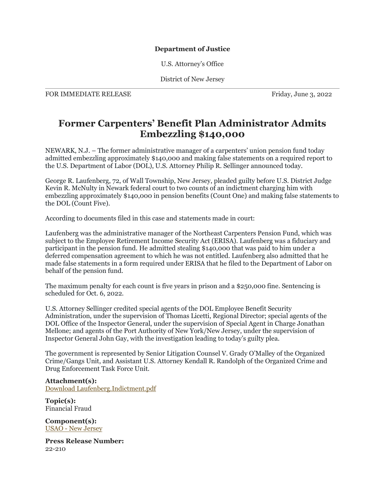## **Department of Justice**

U.S. Attorney's Office

District of New Jersey

FOR IMMEDIATE RELEASE FOR IMMEDIATE RELEASE

## **Former Carpenters' Benefit Plan Administrator Admits Embezzling \$140,000**

NEWARK, N.J. – The former administrative manager of a carpenters' union pension fund today admitted embezzling approximately \$140,000 and making false statements on a required report to the U.S. Department of Labor (DOL), U.S. Attorney Philip R. Sellinger announced today.

George R. Laufenberg, 72, of Wall Township, New Jersey, pleaded guilty before U.S. District Judge Kevin R. McNulty in Newark federal court to two counts of an indictment charging him with embezzling approximately \$140,000 in pension benefits (Count One) and making false statements to the DOL (Count Five).

According to documents filed in this case and statements made in court:

Laufenberg was the administrative manager of the Northeast Carpenters Pension Fund, which was subject to the Employee Retirement Income Security Act (ERISA). Laufenberg was a fiduciary and participant in the pension fund. He admitted stealing \$140,000 that was paid to him under a deferred compensation agreement to which he was not entitled. Laufenberg also admitted that he made false statements in a form required under ERISA that he filed to the Department of Labor on behalf of the pension fund.

The maximum penalty for each count is five years in prison and a \$250,000 fine. Sentencing is scheduled for Oct. 6, 2022.

U.S. Attorney Sellinger credited special agents of the DOL Employee Benefit Security Administration, under the supervision of Thomas Licetti, Regional Director; special agents of the DOL Office of the Inspector General, under the supervision of Special Agent in Charge Jonathan Mellone; and agents of the Port Authority of New York/New Jersey, under the supervision of Inspector General John Gay, with the investigation leading to today's guilty plea.

The government is represented by Senior Litigation Counsel V. Grady O'Malley of the Organized Crime/Gangs Unit, and Assistant U.S. Attorney Kendall R. Randolph of the Organized Crime and Drug Enforcement Task Force Unit.

**Attachment(s):** [Download Laufenberg.Indictment.pdf](https://www.justice.gov/usao-nj/press-release/file/1510636/download)

**Topic(s):** Financial Fraud

**Component(s):** USAO - [New Jersey](http://www.justice.gov/usao-nj)

**Press Release Number:** 22-210